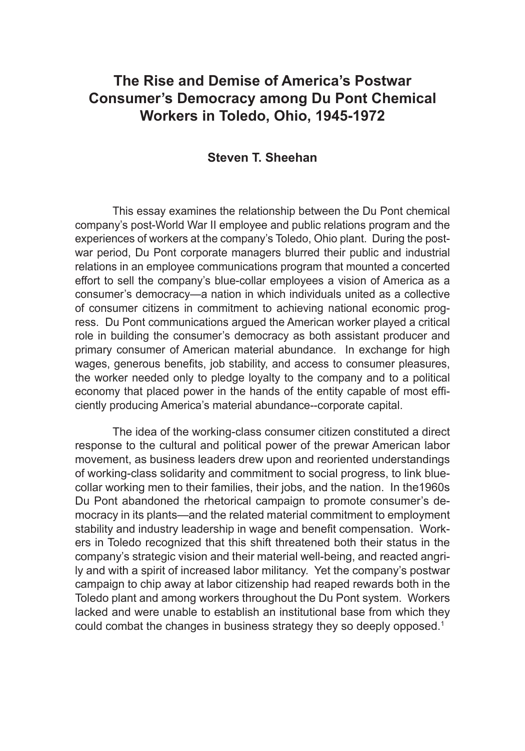# **The Rise and Demise of America's Postwar Consumer's Democracy among Du Pont Chemical Workers in Toledo, Ohio, 1945-1972**

## **Steven T. Sheehan**

This essay examines the relationship between the Du Pont chemical company's post-World War II employee and public relations program and the experiences of workers at the company's Toledo, Ohio plant. During the postwar period, Du Pont corporate managers blurred their public and industrial relations in an employee communications program that mounted a concerted effort to sell the company's blue-collar employees a vision of America as a consumer's democracy—a nation in which individuals united as a collective of consumer citizens in commitment to achieving national economic progress. Du Pont communications argued the American worker played a critical role in building the consumer's democracy as both assistant producer and primary consumer of American material abundance. In exchange for high wages, generous benefits, job stability, and access to consumer pleasures, the worker needed only to pledge loyalty to the company and to a political economy that placed power in the hands of the entity capable of most efficiently producing America's material abundance--corporate capital.

The idea of the working-class consumer citizen constituted a direct response to the cultural and political power of the prewar American labor movement, as business leaders drew upon and reoriented understandings of working-class solidarity and commitment to social progress, to link bluecollar working men to their families, their jobs, and the nation. In the1960s Du Pont abandoned the rhetorical campaign to promote consumer's democracy in its plants—and the related material commitment to employment stability and industry leadership in wage and benefit compensation. Workers in Toledo recognized that this shift threatened both their status in the company's strategic vision and their material well-being, and reacted angrily and with a spirit of increased labor militancy. Yet the company's postwar campaign to chip away at labor citizenship had reaped rewards both in the Toledo plant and among workers throughout the Du Pont system. Workers lacked and were unable to establish an institutional base from which they could combat the changes in business strategy they so deeply opposed.<sup>1</sup>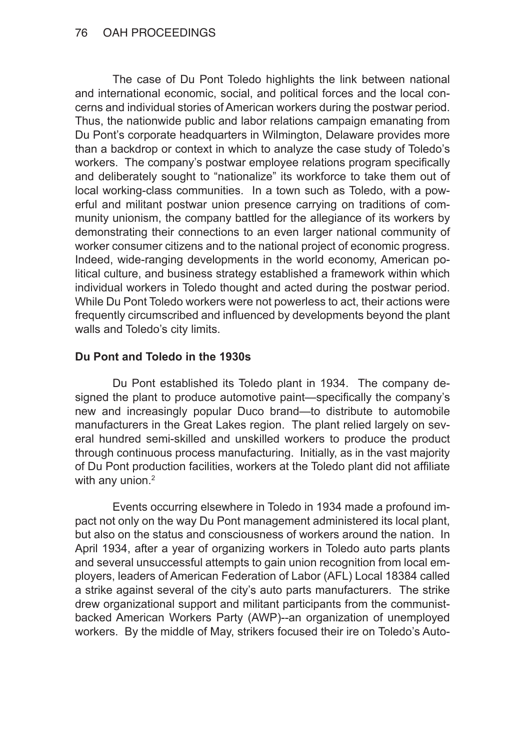The case of Du Pont Toledo highlights the link between national and international economic, social, and political forces and the local concerns and individual stories of American workers during the postwar period. Thus, the nationwide public and labor relations campaign emanating from Du Pont's corporate headquarters in Wilmington, Delaware provides more than a backdrop or context in which to analyze the case study of Toledo's workers. The company's postwar employee relations program specifically and deliberately sought to "nationalize" its workforce to take them out of local working-class communities. In a town such as Toledo, with a powerful and militant postwar union presence carrying on traditions of community unionism, the company battled for the allegiance of its workers by demonstrating their connections to an even larger national community of worker consumer citizens and to the national project of economic progress. Indeed, wide-ranging developments in the world economy, American political culture, and business strategy established a framework within which individual workers in Toledo thought and acted during the postwar period. While Du Pont Toledo workers were not powerless to act, their actions were frequently circumscribed and influenced by developments beyond the plant walls and Toledo's city limits.

# **Du Pont and Toledo in the 1930s**

Du Pont established its Toledo plant in 1934. The company designed the plant to produce automotive paint—specifically the company's new and increasingly popular Duco brand—to distribute to automobile manufacturers in the Great Lakes region. The plant relied largely on several hundred semi-skilled and unskilled workers to produce the product through continuous process manufacturing. Initially, as in the vast majority of Du Pont production facilities, workers at the Toledo plant did not affiliate with any union.<sup>2</sup>

Events occurring elsewhere in Toledo in 1934 made a profound impact not only on the way Du Pont management administered its local plant, but also on the status and consciousness of workers around the nation. In April 1934, after a year of organizing workers in Toledo auto parts plants and several unsuccessful attempts to gain union recognition from local employers, leaders of American Federation of Labor (AFL) Local 18384 called a strike against several of the city's auto parts manufacturers. The strike drew organizational support and militant participants from the communistbacked American Workers Party (AWP)--an organization of unemployed workers. By the middle of May, strikers focused their ire on Toledo's Auto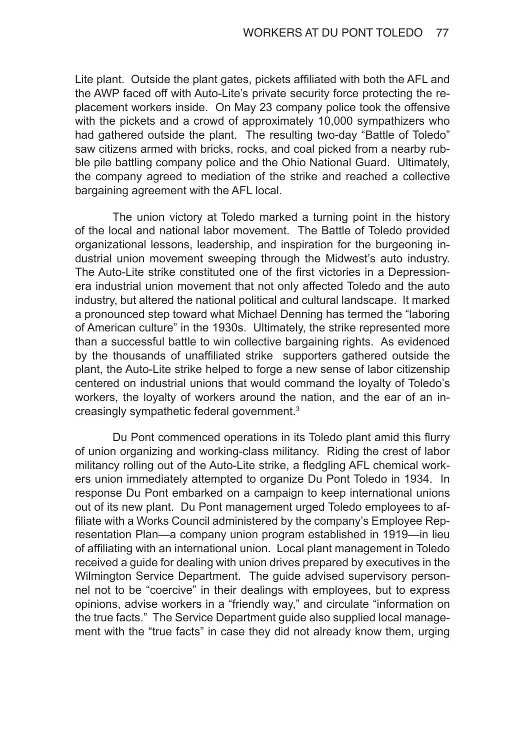Lite plant. Outside the plant gates, pickets affiliated with both the AFL and the AWP faced off with Auto-Lite's private security force protecting the replacement workers inside. On May 23 company police took the offensive with the pickets and a crowd of approximately 10,000 sympathizers who had gathered outside the plant. The resulting two-day "Battle of Toledo" saw citizens armed with bricks, rocks, and coal picked from a nearby rubble pile battling company police and the Ohio National Guard. Ultimately, the company agreed to mediation of the strike and reached a collective bargaining agreement with the AFL local.

The union victory at Toledo marked a turning point in the history of the local and national labor movement. The Battle of Toledo provided organizational lessons, leadership, and inspiration for the burgeoning industrial union movement sweeping through the Midwest's auto industry. The Auto-Lite strike constituted one of the first victories in a Depressionera industrial union movement that not only affected Toledo and the auto industry, but altered the national political and cultural landscape. It marked a pronounced step toward what Michael Denning has termed the "laboring of American culture" in the 1930s. Ultimately, the strike represented more than a successful battle to win collective bargaining rights. As evidenced by the thousands of unaffiliated strike supporters gathered outside the plant, the Auto-Lite strike helped to forge a new sense of labor citizenship centered on industrial unions that would command the loyalty of Toledo's workers, the loyalty of workers around the nation, and the ear of an increasingly sympathetic federal government.<sup>3</sup>

Du Pont commenced operations in its Toledo plant amid this flurry of union organizing and working-class militancy. Riding the crest of labor militancy rolling out of the Auto-Lite strike, a fledgling AFL chemical workers union immediately attempted to organize Du Pont Toledo in 1934. In response Du Pont embarked on a campaign to keep international unions out of its new plant. Du Pont management urged Toledo employees to affiliate with a Works Council administered by the company's Employee Representation Plan—a company union program established in 1919—in lieu of affiliating with an international union. Local plant management in Toledo received a guide for dealing with union drives prepared by executives in the Wilmington Service Department. The guide advised supervisory personnel not to be "coercive" in their dealings with employees, but to express opinions, advise workers in a "friendly way," and circulate "information on the true facts." The Service Department guide also supplied local management with the "true facts" in case they did not already know them, urging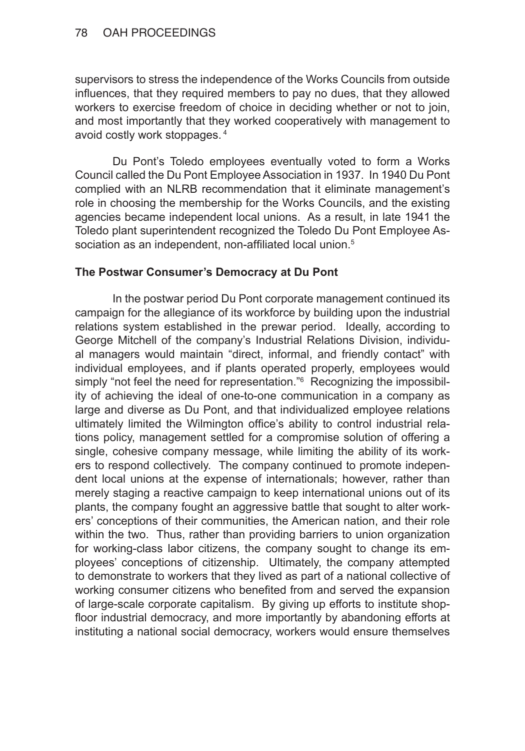supervisors to stress the independence of the Works Councils from outside influences, that they required members to pay no dues, that they allowed workers to exercise freedom of choice in deciding whether or not to join, and most importantly that they worked cooperatively with management to avoid costly work stoppages.<sup>4</sup>

Du Pont's Toledo employees eventually voted to form a Works Council called the Du Pont Employee Association in 1937. In 1940 Du Pont complied with an NLRB recommendation that it eliminate management's role in choosing the membership for the Works Councils, and the existing agencies became independent local unions. As a result, in late 1941 the Toledo plant superintendent recognized the Toledo Du Pont Employee Association as an independent, non-affiliated local union.<sup>5</sup>

## **The Postwar Consumer's Democracy at Du Pont**

In the postwar period Du Pont corporate management continued its campaign for the allegiance of its workforce by building upon the industrial relations system established in the prewar period. Ideally, according to George Mitchell of the company's Industrial Relations Division, individual managers would maintain "direct, informal, and friendly contact" with individual employees, and if plants operated properly, employees would simply "not feel the need for representation."<sup>6</sup> Recognizing the impossibility of achieving the ideal of one-to-one communication in a company as large and diverse as Du Pont, and that individualized employee relations ultimately limited the Wilmington office's ability to control industrial relations policy, management settled for a compromise solution of offering a single, cohesive company message, while limiting the ability of its workers to respond collectively. The company continued to promote independent local unions at the expense of internationals; however, rather than merely staging a reactive campaign to keep international unions out of its plants, the company fought an aggressive battle that sought to alter workers' conceptions of their communities, the American nation, and their role within the two. Thus, rather than providing barriers to union organization for working-class labor citizens, the company sought to change its employees' conceptions of citizenship. Ultimately, the company attempted to demonstrate to workers that they lived as part of a national collective of working consumer citizens who benefited from and served the expansion of large-scale corporate capitalism. By giving up efforts to institute shopfloor industrial democracy, and more importantly by abandoning efforts at instituting a national social democracy, workers would ensure themselves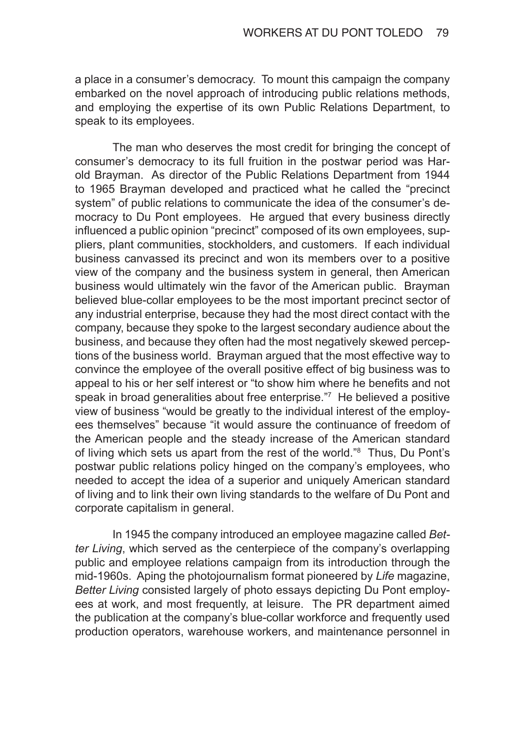a place in a consumer's democracy. To mount this campaign the company embarked on the novel approach of introducing public relations methods, and employing the expertise of its own Public Relations Department, to speak to its employees.

The man who deserves the most credit for bringing the concept of consumer's democracy to its full fruition in the postwar period was Harold Brayman. As director of the Public Relations Department from 1944 to 1965 Brayman developed and practiced what he called the "precinct system" of public relations to communicate the idea of the consumer's democracy to Du Pont employees. He argued that every business directly influenced a public opinion "precinct" composed of its own employees, suppliers, plant communities, stockholders, and customers. If each individual business canvassed its precinct and won its members over to a positive view of the company and the business system in general, then American business would ultimately win the favor of the American public. Brayman believed blue-collar employees to be the most important precinct sector of any industrial enterprise, because they had the most direct contact with the company, because they spoke to the largest secondary audience about the business, and because they often had the most negatively skewed perceptions of the business world. Brayman argued that the most effective way to convince the employee of the overall positive effect of big business was to appeal to his or her self interest or "to show him where he benefits and not speak in broad generalities about free enterprise."<sup>7</sup> He believed a positive view of business "would be greatly to the individual interest of the employees themselves" because "it would assure the continuance of freedom of the American people and the steady increase of the American standard of living which sets us apart from the rest of the world."<sup>8</sup> Thus, Du Pont's postwar public relations policy hinged on the company's employees, who needed to accept the idea of a superior and uniquely American standard of living and to link their own living standards to the welfare of Du Pont and corporate capitalism in general.

In 1945 the company introduced an employee magazine called *Better Living*, which served as the centerpiece of the company's overlapping public and employee relations campaign from its introduction through the mid-1960s. Aping the photojournalism format pioneered by *Life* magazine, *Better Living* consisted largely of photo essays depicting Du Pont employees at work, and most frequently, at leisure. The PR department aimed the publication at the company's blue-collar workforce and frequently used production operators, warehouse workers, and maintenance personnel in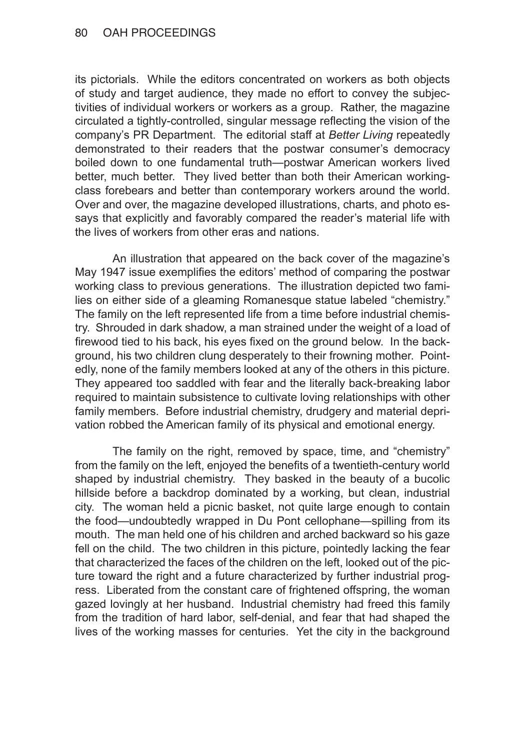its pictorials. While the editors concentrated on workers as both objects of study and target audience, they made no effort to convey the subjectivities of individual workers or workers as a group. Rather, the magazine circulated a tightly-controlled, singular message reflecting the vision of the company's PR Department. The editorial staff at *Better Living* repeatedly demonstrated to their readers that the postwar consumer's democracy boiled down to one fundamental truth—postwar American workers lived better, much better. They lived better than both their American workingclass forebears and better than contemporary workers around the world. Over and over, the magazine developed illustrations, charts, and photo essays that explicitly and favorably compared the reader's material life with the lives of workers from other eras and nations.

An illustration that appeared on the back cover of the magazine's May 1947 issue exemplifies the editors' method of comparing the postwar working class to previous generations. The illustration depicted two families on either side of a gleaming Romanesque statue labeled "chemistry." The family on the left represented life from a time before industrial chemistry. Shrouded in dark shadow, a man strained under the weight of a load of firewood tied to his back, his eyes fixed on the ground below. In the background, his two children clung desperately to their frowning mother. Pointedly, none of the family members looked at any of the others in this picture. They appeared too saddled with fear and the literally back-breaking labor required to maintain subsistence to cultivate loving relationships with other family members. Before industrial chemistry, drudgery and material deprivation robbed the American family of its physical and emotional energy.

The family on the right, removed by space, time, and "chemistry" from the family on the left, enjoyed the benefits of a twentieth-century world shaped by industrial chemistry. They basked in the beauty of a bucolic hillside before a backdrop dominated by a working, but clean, industrial city. The woman held a picnic basket, not quite large enough to contain the food—undoubtedly wrapped in Du Pont cellophane—spilling from its mouth. The man held one of his children and arched backward so his gaze fell on the child. The two children in this picture, pointedly lacking the fear that characterized the faces of the children on the left, looked out of the picture toward the right and a future characterized by further industrial progress. Liberated from the constant care of frightened offspring, the woman gazed lovingly at her husband. Industrial chemistry had freed this family from the tradition of hard labor, self-denial, and fear that had shaped the lives of the working masses for centuries. Yet the city in the background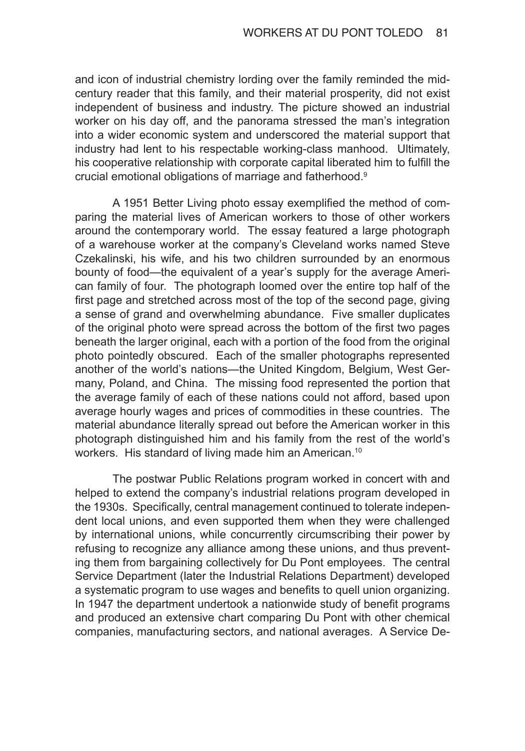and icon of industrial chemistry lording over the family reminded the midcentury reader that this family, and their material prosperity, did not exist independent of business and industry. The picture showed an industrial worker on his day off, and the panorama stressed the man's integration into a wider economic system and underscored the material support that industry had lent to his respectable working-class manhood. Ultimately, his cooperative relationship with corporate capital liberated him to fulfill the crucial emotional obligations of marriage and fatherhood.<sup>9</sup>

A 1951 Better Living photo essay exemplified the method of comparing the material lives of American workers to those of other workers around the contemporary world. The essay featured a large photograph of a warehouse worker at the company's Cleveland works named Steve Czekalinski, his wife, and his two children surrounded by an enormous bounty of food—the equivalent of a year's supply for the average American family of four. The photograph loomed over the entire top half of the first page and stretched across most of the top of the second page, giving a sense of grand and overwhelming abundance. Five smaller duplicates of the original photo were spread across the bottom of the first two pages beneath the larger original, each with a portion of the food from the original photo pointedly obscured. Each of the smaller photographs represented another of the world's nations—the United Kingdom, Belgium, West Germany, Poland, and China. The missing food represented the portion that the average family of each of these nations could not afford, based upon average hourly wages and prices of commodities in these countries. The material abundance literally spread out before the American worker in this photograph distinguished him and his family from the rest of the world's workers. His standard of living made him an American.<sup>10</sup>

The postwar Public Relations program worked in concert with and helped to extend the company's industrial relations program developed in the 1930s. Specifically, central management continued to tolerate independent local unions, and even supported them when they were challenged by international unions, while concurrently circumscribing their power by refusing to recognize any alliance among these unions, and thus preventing them from bargaining collectively for Du Pont employees. The central Service Department (later the Industrial Relations Department) developed a systematic program to use wages and benefits to quell union organizing. In 1947 the department undertook a nationwide study of benefit programs and produced an extensive chart comparing Du Pont with other chemical companies, manufacturing sectors, and national averages. A Service De-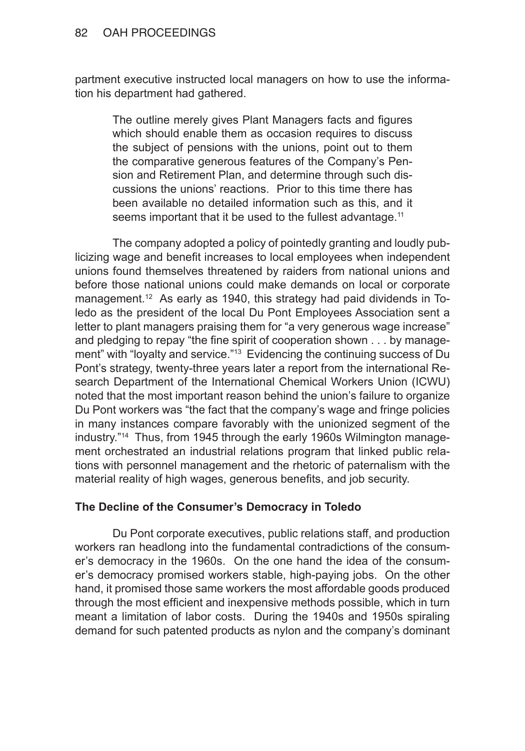partment executive instructed local managers on how to use the information his department had gathered.

The outline merely gives Plant Managers facts and figures which should enable them as occasion requires to discuss the subject of pensions with the unions, point out to them the comparative generous features of the Company's Pension and Retirement Plan, and determine through such discussions the unions' reactions. Prior to this time there has been available no detailed information such as this, and it seems important that it be used to the fullest advantage.<sup>11</sup>

The company adopted a policy of pointedly granting and loudly publicizing wage and benefit increases to local employees when independent unions found themselves threatened by raiders from national unions and before those national unions could make demands on local or corporate management.12 As early as 1940, this strategy had paid dividends in Toledo as the president of the local Du Pont Employees Association sent a letter to plant managers praising them for "a very generous wage increase" and pledging to repay "the fine spirit of cooperation shown . . . by management" with "loyalty and service."<sup>13</sup> Evidencing the continuing success of Du Pont's strategy, twenty-three years later a report from the international Research Department of the International Chemical Workers Union (ICWU) noted that the most important reason behind the union's failure to organize Du Pont workers was "the fact that the company's wage and fringe policies in many instances compare favorably with the unionized segment of the industry."14 Thus, from 1945 through the early 1960s Wilmington management orchestrated an industrial relations program that linked public relations with personnel management and the rhetoric of paternalism with the material reality of high wages, generous benefits, and job security.

# **The Decline of the Consumer's Democracy in Toledo**

Du Pont corporate executives, public relations staff, and production workers ran headlong into the fundamental contradictions of the consumer's democracy in the 1960s. On the one hand the idea of the consumer's democracy promised workers stable, high-paying jobs. On the other hand, it promised those same workers the most affordable goods produced through the most efficient and inexpensive methods possible, which in turn meant a limitation of labor costs. During the 1940s and 1950s spiraling demand for such patented products as nylon and the company's dominant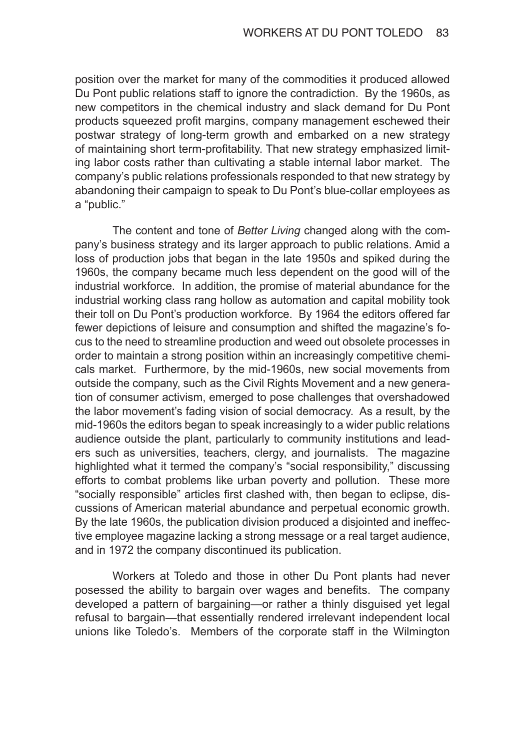position over the market for many of the commodities it produced allowed Du Pont public relations staff to ignore the contradiction. By the 1960s, as new competitors in the chemical industry and slack demand for Du Pont products squeezed profit margins, company management eschewed their postwar strategy of long-term growth and embarked on a new strategy of maintaining short term-profitability. That new strategy emphasized limiting labor costs rather than cultivating a stable internal labor market. The company's public relations professionals responded to that new strategy by abandoning their campaign to speak to Du Pont's blue-collar employees as a "public."

The content and tone of *Better Living* changed along with the company's business strategy and its larger approach to public relations. Amid a loss of production jobs that began in the late 1950s and spiked during the 1960s, the company became much less dependent on the good will of the industrial workforce. In addition, the promise of material abundance for the industrial working class rang hollow as automation and capital mobility took their toll on Du Pont's production workforce. By 1964 the editors offered far fewer depictions of leisure and consumption and shifted the magazine's focus to the need to streamline production and weed out obsolete processes in order to maintain a strong position within an increasingly competitive chemicals market. Furthermore, by the mid-1960s, new social movements from outside the company, such as the Civil Rights Movement and a new generation of consumer activism, emerged to pose challenges that overshadowed the labor movement's fading vision of social democracy. As a result, by the mid-1960s the editors began to speak increasingly to a wider public relations audience outside the plant, particularly to community institutions and leaders such as universities, teachers, clergy, and journalists. The magazine highlighted what it termed the company's "social responsibility," discussing efforts to combat problems like urban poverty and pollution. These more "socially responsible" articles first clashed with, then began to eclipse, discussions of American material abundance and perpetual economic growth. By the late 1960s, the publication division produced a disjointed and ineffective employee magazine lacking a strong message or a real target audience, and in 1972 the company discontinued its publication.

Workers at Toledo and those in other Du Pont plants had never posessed the ability to bargain over wages and benefits. The company developed a pattern of bargaining—or rather a thinly disguised yet legal refusal to bargain—that essentially rendered irrelevant independent local unions like Toledo's. Members of the corporate staff in the Wilmington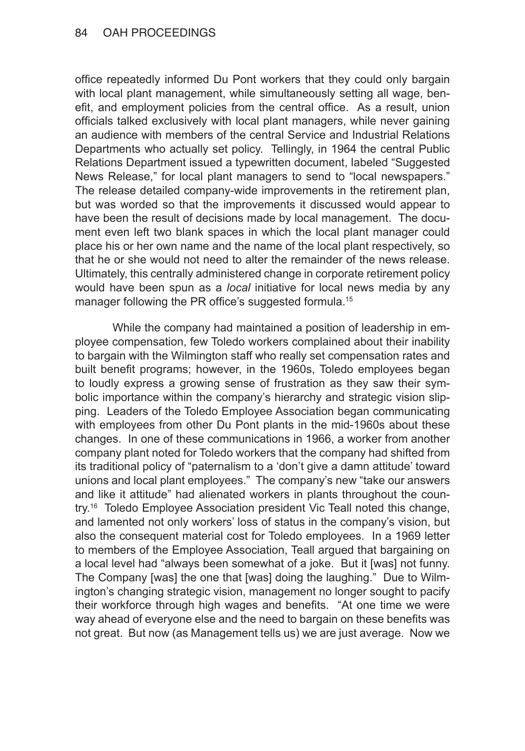office repeatedly informed Du Pont workers that they could only bargain with local plant management, while simultaneously setting all wage, benefit, and employment policies from the central office. As a result, union officials talked exclusively with local plant managers, while never gaining an audience with members of the central Service and Industrial Relations Departments who actually set policy. Tellingly, in 1964 the central Public Relations Department issued a typewritten document, labeled "Suggested News Release," for local plant managers to send to "local newspapers." The release detailed company-wide improvements in the retirement plan, but was worded so that the improvements it discussed would appear to have been the result of decisions made by local management. The document even left two blank spaces in which the local plant manager could place his or her own name and the name of the local plant respectively, so that he or she would not need to alter the remainder of the news release. Ultimately, this centrally administered change in corporate retirement policy would have been spun as a *local* initiative for local news media by any manager following the PR office's suggested formula.<sup>15</sup>

While the company had maintained a position of leadership in employee compensation, few Toledo workers complained about their inability to bargain with the Wilmington staff who really set compensation rates and built benefit programs; however, in the 1960s, Toledo employees began to loudly express a growing sense of frustration as they saw their symbolic importance within the company's hierarchy and strategic vision slipping. Leaders of the Toledo Employee Association began communicating with employees from other Du Pont plants in the mid-1960s about these changes. In one of these communications in 1966, a worker from another company plant noted for Toledo workers that the company had shifted from its traditional policy of "paternalism to a 'don't give a damn attitude' toward unions and local plant employees." The company's new "take our answers and like it attitude" had alienated workers in plants throughout the country.16 Toledo Employee Association president Vic Teall noted this change, and lamented not only workers' loss of status in the company's vision, but also the consequent material cost for Toledo employees. In a 1969 letter to members of the Employee Association, Teall argued that bargaining on a local level had "always been somewhat of a joke. But it [was] not funny. The Company [was] the one that [was] doing the laughing." Due to Wilmington's changing strategic vision, management no longer sought to pacify their workforce through high wages and benefits. "At one time we were way ahead of everyone else and the need to bargain on these benefits was not great. But now (as Management tells us) we are just average. Now we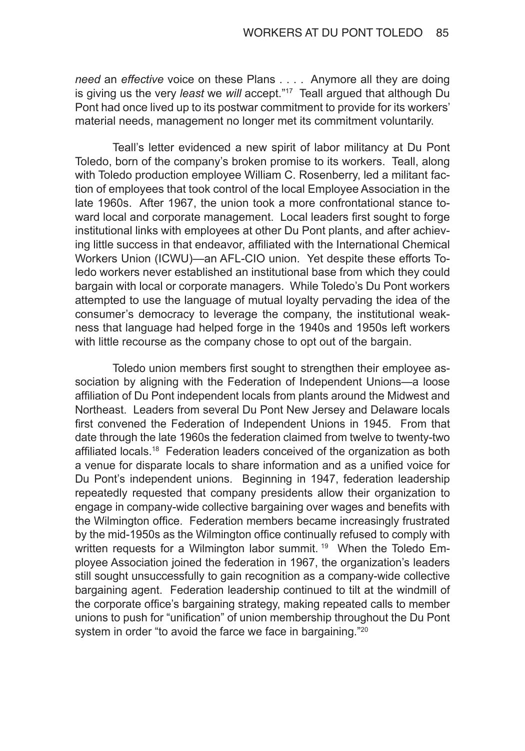*need* an *effective* voice on these Plans . . . . Anymore all they are doing is giving us the very *least* we *will* accept."17 Teall argued that although Du Pont had once lived up to its postwar commitment to provide for its workers' material needs, management no longer met its commitment voluntarily.

Teall's letter evidenced a new spirit of labor militancy at Du Pont Toledo, born of the company's broken promise to its workers. Teall, along with Toledo production employee William C. Rosenberry, led a militant faction of employees that took control of the local Employee Association in the late 1960s. After 1967, the union took a more confrontational stance toward local and corporate management. Local leaders first sought to forge institutional links with employees at other Du Pont plants, and after achieving little success in that endeavor, affiliated with the International Chemical Workers Union (ICWU)—an AFL-CIO union. Yet despite these efforts Toledo workers never established an institutional base from which they could bargain with local or corporate managers. While Toledo's Du Pont workers attempted to use the language of mutual loyalty pervading the idea of the consumer's democracy to leverage the company, the institutional weakness that language had helped forge in the 1940s and 1950s left workers with little recourse as the company chose to opt out of the bargain.

Toledo union members first sought to strengthen their employee association by aligning with the Federation of Independent Unions—a loose affiliation of Du Pont independent locals from plants around the Midwest and Northeast. Leaders from several Du Pont New Jersey and Delaware locals first convened the Federation of Independent Unions in 1945. From that date through the late 1960s the federation claimed from twelve to twenty-two affiliated locals.18 Federation leaders conceived of the organization as both a venue for disparate locals to share information and as a unified voice for Du Pont's independent unions. Beginning in 1947, federation leadership repeatedly requested that company presidents allow their organization to engage in company-wide collective bargaining over wages and benefits with the Wilmington office. Federation members became increasingly frustrated by the mid-1950s as the Wilmington office continually refused to comply with written requests for a Wilmington labor summit.<sup>19</sup> When the Toledo Employee Association joined the federation in 1967, the organization's leaders still sought unsuccessfully to gain recognition as a company-wide collective bargaining agent. Federation leadership continued to tilt at the windmill of the corporate office's bargaining strategy, making repeated calls to member unions to push for "unification" of union membership throughout the Du Pont system in order "to avoid the farce we face in bargaining."<sup>20</sup>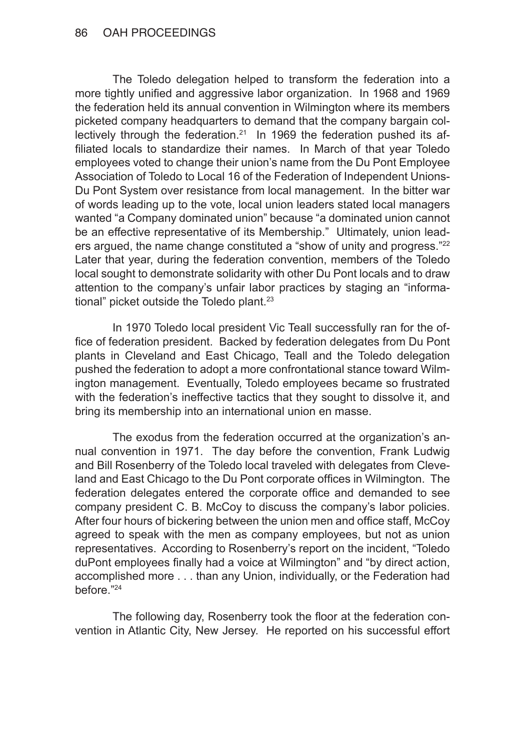The Toledo delegation helped to transform the federation into a more tightly unified and aggressive labor organization. In 1968 and 1969 the federation held its annual convention in Wilmington where its members picketed company headquarters to demand that the company bargain collectively through the federation.<sup>21</sup> In 1969 the federation pushed its affiliated locals to standardize their names. In March of that year Toledo employees voted to change their union's name from the Du Pont Employee Association of Toledo to Local 16 of the Federation of Independent Unions-Du Pont System over resistance from local management. In the bitter war of words leading up to the vote, local union leaders stated local managers wanted "a Company dominated union" because "a dominated union cannot be an effective representative of its Membership." Ultimately, union leaders argued, the name change constituted a "show of unity and progress."<sup>22</sup> Later that year, during the federation convention, members of the Toledo local sought to demonstrate solidarity with other Du Pont locals and to draw attention to the company's unfair labor practices by staging an "informational" picket outside the Toledo plant.<sup>23</sup>

In 1970 Toledo local president Vic Teall successfully ran for the office of federation president. Backed by federation delegates from Du Pont plants in Cleveland and East Chicago, Teall and the Toledo delegation pushed the federation to adopt a more confrontational stance toward Wilmington management. Eventually, Toledo employees became so frustrated with the federation's ineffective tactics that they sought to dissolve it, and bring its membership into an international union en masse.

The exodus from the federation occurred at the organization's annual convention in 1971. The day before the convention, Frank Ludwig and Bill Rosenberry of the Toledo local traveled with delegates from Cleveland and East Chicago to the Du Pont corporate offices in Wilmington. The federation delegates entered the corporate office and demanded to see company president C. B. McCoy to discuss the company's labor policies. After four hours of bickering between the union men and office staff, McCoy agreed to speak with the men as company employees, but not as union representatives. According to Rosenberry's report on the incident, "Toledo duPont employees finally had a voice at Wilmington" and "by direct action, accomplished more . . . than any Union, individually, or the Federation had before."<sup>24</sup>

The following day, Rosenberry took the floor at the federation convention in Atlantic City, New Jersey. He reported on his successful effort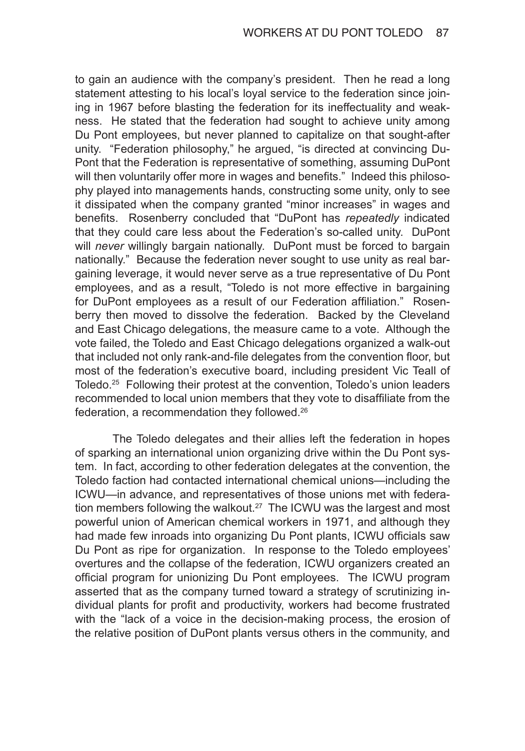to gain an audience with the company's president. Then he read a long statement attesting to his local's loyal service to the federation since joining in 1967 before blasting the federation for its ineffectuality and weakness. He stated that the federation had sought to achieve unity among Du Pont employees, but never planned to capitalize on that sought-after unity. "Federation philosophy," he argued, "is directed at convincing Du-Pont that the Federation is representative of something, assuming DuPont will then voluntarily offer more in wages and benefits." Indeed this philosophy played into managements hands, constructing some unity, only to see it dissipated when the company granted "minor increases" in wages and benefits. Rosenberry concluded that "DuPont has *repeatedly* indicated that they could care less about the Federation's so-called unity. DuPont will *never* willingly bargain nationally. DuPont must be forced to bargain nationally." Because the federation never sought to use unity as real bargaining leverage, it would never serve as a true representative of Du Pont employees, and as a result, "Toledo is not more effective in bargaining for DuPont employees as a result of our Federation affiliation." Rosenberry then moved to dissolve the federation. Backed by the Cleveland and East Chicago delegations, the measure came to a vote. Although the vote failed, the Toledo and East Chicago delegations organized a walk-out that included not only rank-and-file delegates from the convention floor, but most of the federation's executive board, including president Vic Teall of Toledo.<sup>25</sup> Following their protest at the convention, Toledo's union leaders recommended to local union members that they vote to disaffiliate from the federation, a recommendation they followed.<sup>26</sup>

The Toledo delegates and their allies left the federation in hopes of sparking an international union organizing drive within the Du Pont system. In fact, according to other federation delegates at the convention, the Toledo faction had contacted international chemical unions—including the ICWU—in advance, and representatives of those unions met with federation members following the walkout.<sup>27</sup> The ICWU was the largest and most powerful union of American chemical workers in 1971, and although they had made few inroads into organizing Du Pont plants, ICWU officials saw Du Pont as ripe for organization. In response to the Toledo employees' overtures and the collapse of the federation, ICWU organizers created an official program for unionizing Du Pont employees. The ICWU program asserted that as the company turned toward a strategy of scrutinizing individual plants for profit and productivity, workers had become frustrated with the "lack of a voice in the decision-making process, the erosion of the relative position of DuPont plants versus others in the community, and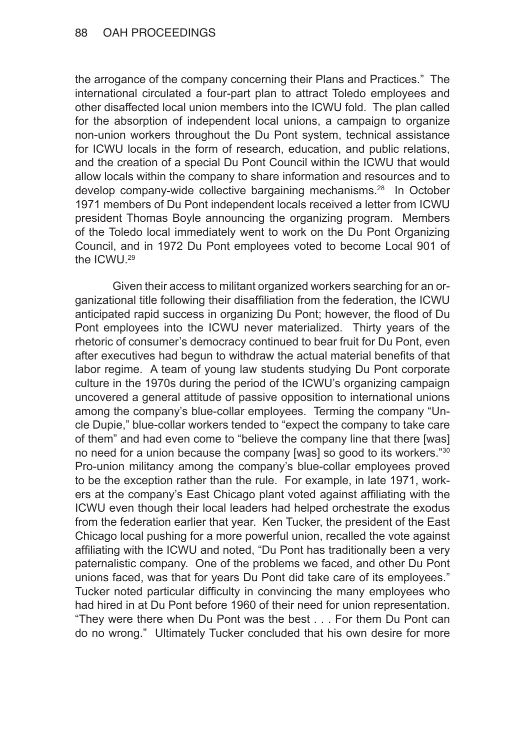the arrogance of the company concerning their Plans and Practices." The international circulated a four-part plan to attract Toledo employees and other disaffected local union members into the ICWU fold. The plan called for the absorption of independent local unions, a campaign to organize non-union workers throughout the Du Pont system, technical assistance for ICWU locals in the form of research, education, and public relations, and the creation of a special Du Pont Council within the ICWU that would allow locals within the company to share information and resources and to develop company-wide collective bargaining mechanisms.<sup>28</sup> In October 1971 members of Du Pont independent locals received a letter from ICWU president Thomas Boyle announcing the organizing program. Members of the Toledo local immediately went to work on the Du Pont Organizing Council, and in 1972 Du Pont employees voted to become Local 901 of the ICWU.29

Given their access to militant organized workers searching for an organizational title following their disaffiliation from the federation, the ICWU anticipated rapid success in organizing Du Pont; however, the flood of Du Pont employees into the ICWU never materialized. Thirty years of the rhetoric of consumer's democracy continued to bear fruit for Du Pont, even after executives had begun to withdraw the actual material benefits of that labor regime. A team of young law students studying Du Pont corporate culture in the 1970s during the period of the ICWU's organizing campaign uncovered a general attitude of passive opposition to international unions among the company's blue-collar employees. Terming the company "Uncle Dupie," blue-collar workers tended to "expect the company to take care of them" and had even come to "believe the company line that there [was] no need for a union because the company [was] so good to its workers."30 Pro-union militancy among the company's blue-collar employees proved to be the exception rather than the rule. For example, in late 1971, workers at the company's East Chicago plant voted against affiliating with the ICWU even though their local leaders had helped orchestrate the exodus from the federation earlier that year. Ken Tucker, the president of the East Chicago local pushing for a more powerful union, recalled the vote against affiliating with the ICWU and noted, "Du Pont has traditionally been a very paternalistic company. One of the problems we faced, and other Du Pont unions faced, was that for years Du Pont did take care of its employees." Tucker noted particular difficulty in convincing the many employees who had hired in at Du Pont before 1960 of their need for union representation. "They were there when Du Pont was the best . . . For them Du Pont can do no wrong." Ultimately Tucker concluded that his own desire for more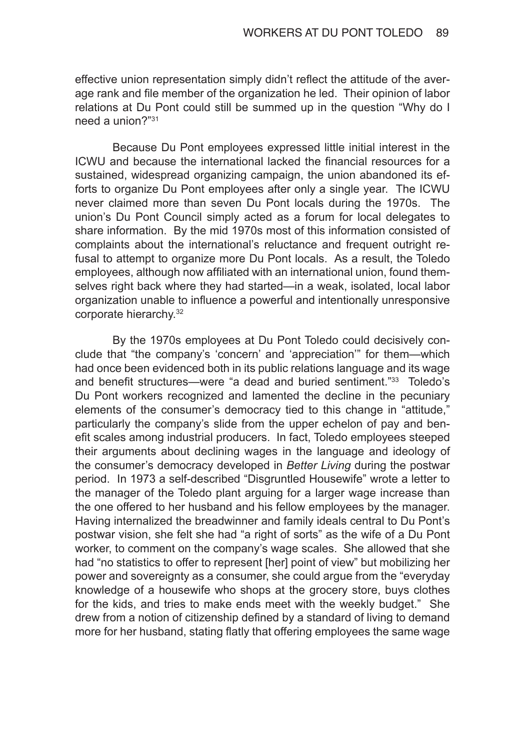effective union representation simply didn't reflect the attitude of the average rank and file member of the organization he led. Their opinion of labor relations at Du Pont could still be summed up in the question "Why do I need a union?"<sup>31</sup>

Because Du Pont employees expressed little initial interest in the ICWU and because the international lacked the financial resources for a sustained, widespread organizing campaign, the union abandoned its efforts to organize Du Pont employees after only a single year. The ICWU never claimed more than seven Du Pont locals during the 1970s. The union's Du Pont Council simply acted as a forum for local delegates to share information. By the mid 1970s most of this information consisted of complaints about the international's reluctance and frequent outright refusal to attempt to organize more Du Pont locals. As a result, the Toledo employees, although now affiliated with an international union, found themselves right back where they had started—in a weak, isolated, local labor organization unable to influence a powerful and intentionally unresponsive corporate hierarchy.<sup>32</sup>

By the 1970s employees at Du Pont Toledo could decisively conclude that "the company's 'concern' and 'appreciation'" for them—which had once been evidenced both in its public relations language and its wage and benefit structures—were "a dead and buried sentiment."<sup>33</sup> Toledo's Du Pont workers recognized and lamented the decline in the pecuniary elements of the consumer's democracy tied to this change in "attitude," particularly the company's slide from the upper echelon of pay and benefit scales among industrial producers. In fact, Toledo employees steeped their arguments about declining wages in the language and ideology of the consumer's democracy developed in *Better Living* during the postwar period. In 1973 a self-described "Disgruntled Housewife" wrote a letter to the manager of the Toledo plant arguing for a larger wage increase than the one offered to her husband and his fellow employees by the manager. Having internalized the breadwinner and family ideals central to Du Pont's postwar vision, she felt she had "a right of sorts" as the wife of a Du Pont worker, to comment on the company's wage scales. She allowed that she had "no statistics to offer to represent [her] point of view" but mobilizing her power and sovereignty as a consumer, she could argue from the "everyday knowledge of a housewife who shops at the grocery store, buys clothes for the kids, and tries to make ends meet with the weekly budget." She drew from a notion of citizenship defined by a standard of living to demand more for her husband, stating flatly that offering employees the same wage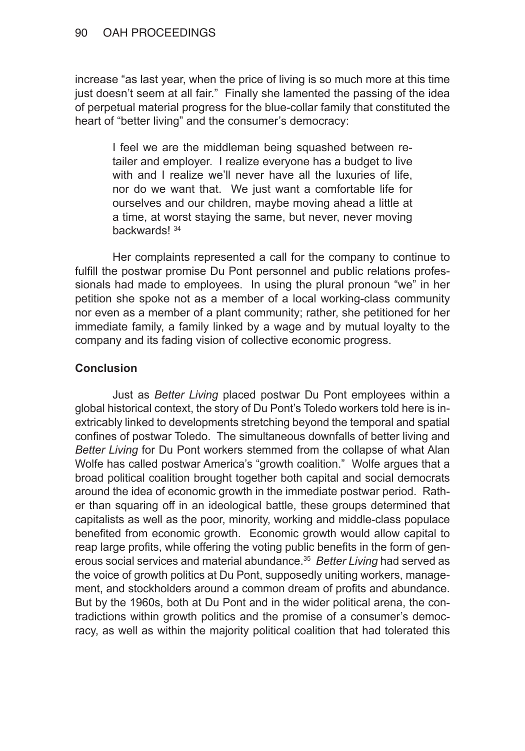increase "as last year, when the price of living is so much more at this time just doesn't seem at all fair." Finally she lamented the passing of the idea of perpetual material progress for the blue-collar family that constituted the heart of "better living" and the consumer's democracy:

I feel we are the middleman being squashed between retailer and employer. I realize everyone has a budget to live with and I realize we'll never have all the luxuries of life. nor do we want that. We just want a comfortable life for ourselves and our children, maybe moving ahead a little at a time, at worst staying the same, but never, never moving backwards! <sup>34</sup>

Her complaints represented a call for the company to continue to fulfill the postwar promise Du Pont personnel and public relations professionals had made to employees. In using the plural pronoun "we" in her petition she spoke not as a member of a local working-class community nor even as a member of a plant community; rather, she petitioned for her immediate family, a family linked by a wage and by mutual loyalty to the company and its fading vision of collective economic progress.

## **Conclusion**

Just as *Better Living* placed postwar Du Pont employees within a global historical context, the story of Du Pont's Toledo workers told here is inextricably linked to developments stretching beyond the temporal and spatial confines of postwar Toledo. The simultaneous downfalls of better living and *Better Living* for Du Pont workers stemmed from the collapse of what Alan Wolfe has called postwar America's "growth coalition." Wolfe argues that a broad political coalition brought together both capital and social democrats around the idea of economic growth in the immediate postwar period. Rather than squaring off in an ideological battle, these groups determined that capitalists as well as the poor, minority, working and middle-class populace benefited from economic growth. Economic growth would allow capital to reap large profits, while offering the voting public benefits in the form of generous social services and material abundance.<sup>35</sup> *Better Living* had served as the voice of growth politics at Du Pont, supposedly uniting workers, management, and stockholders around a common dream of profits and abundance. But by the 1960s, both at Du Pont and in the wider political arena, the contradictions within growth politics and the promise of a consumer's democracy, as well as within the majority political coalition that had tolerated this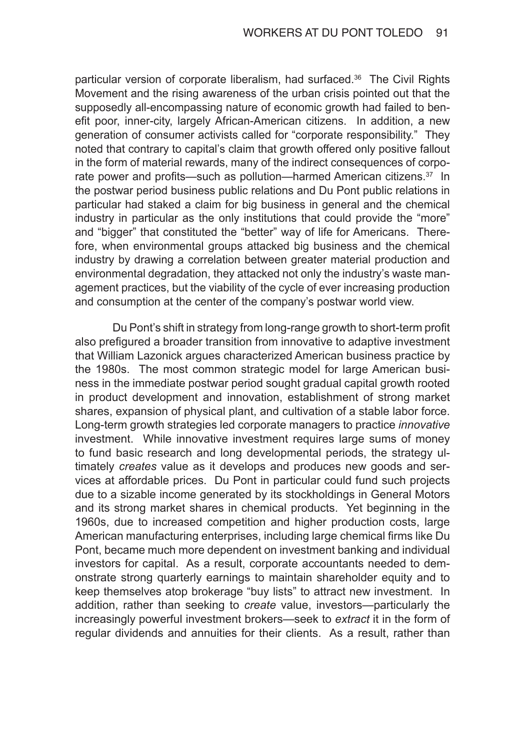particular version of corporate liberalism, had surfaced.<sup>36</sup> The Civil Rights Movement and the rising awareness of the urban crisis pointed out that the supposedly all-encompassing nature of economic growth had failed to benefit poor, inner-city, largely African-American citizens. In addition, a new generation of consumer activists called for "corporate responsibility." They noted that contrary to capital's claim that growth offered only positive fallout in the form of material rewards, many of the indirect consequences of corporate power and profits—such as pollution—harmed American citizens.<sup>37</sup> In the postwar period business public relations and Du Pont public relations in particular had staked a claim for big business in general and the chemical industry in particular as the only institutions that could provide the "more" and "bigger" that constituted the "better" way of life for Americans. Therefore, when environmental groups attacked big business and the chemical industry by drawing a correlation between greater material production and environmental degradation, they attacked not only the industry's waste management practices, but the viability of the cycle of ever increasing production and consumption at the center of the company's postwar world view.

Du Pont's shift in strategy from long-range growth to short-term profit also prefigured a broader transition from innovative to adaptive investment that William Lazonick argues characterized American business practice by the 1980s. The most common strategic model for large American business in the immediate postwar period sought gradual capital growth rooted in product development and innovation, establishment of strong market shares, expansion of physical plant, and cultivation of a stable labor force. Long-term growth strategies led corporate managers to practice *innovative*  investment. While innovative investment requires large sums of money to fund basic research and long developmental periods, the strategy ultimately *creates* value as it develops and produces new goods and services at affordable prices. Du Pont in particular could fund such projects due to a sizable income generated by its stockholdings in General Motors and its strong market shares in chemical products. Yet beginning in the 1960s, due to increased competition and higher production costs, large American manufacturing enterprises, including large chemical firms like Du Pont, became much more dependent on investment banking and individual investors for capital. As a result, corporate accountants needed to demonstrate strong quarterly earnings to maintain shareholder equity and to keep themselves atop brokerage "buy lists" to attract new investment. In addition, rather than seeking to *create* value, investors—particularly the increasingly powerful investment brokers—seek to *extract* it in the form of regular dividends and annuities for their clients. As a result, rather than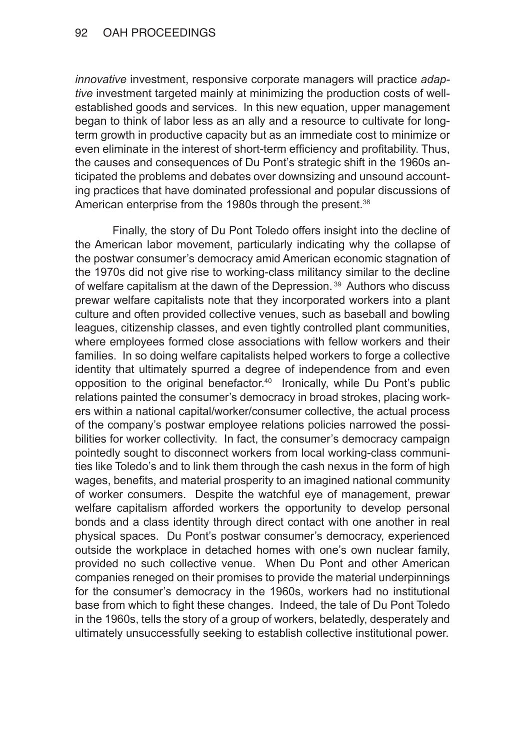*innovative* investment, responsive corporate managers will practice *adaptive* investment targeted mainly at minimizing the production costs of wellestablished goods and services. In this new equation, upper management began to think of labor less as an ally and a resource to cultivate for longterm growth in productive capacity but as an immediate cost to minimize or even eliminate in the interest of short-term efficiency and profitability. Thus, the causes and consequences of Du Pont's strategic shift in the 1960s anticipated the problems and debates over downsizing and unsound accounting practices that have dominated professional and popular discussions of American enterprise from the 1980s through the present.<sup>38</sup>

Finally, the story of Du Pont Toledo offers insight into the decline of the American labor movement, particularly indicating why the collapse of the postwar consumer's democracy amid American economic stagnation of the 1970s did not give rise to working-class militancy similar to the decline of welfare capitalism at the dawn of the Depression.<sup>39</sup> Authors who discuss prewar welfare capitalists note that they incorporated workers into a plant culture and often provided collective venues, such as baseball and bowling leagues, citizenship classes, and even tightly controlled plant communities, where employees formed close associations with fellow workers and their families. In so doing welfare capitalists helped workers to forge a collective identity that ultimately spurred a degree of independence from and even opposition to the original benefactor.<sup>40</sup> Ironically, while Du Pont's public relations painted the consumer's democracy in broad strokes, placing workers within a national capital/worker/consumer collective, the actual process of the company's postwar employee relations policies narrowed the possibilities for worker collectivity. In fact, the consumer's democracy campaign pointedly sought to disconnect workers from local working-class communities like Toledo's and to link them through the cash nexus in the form of high wages, benefits, and material prosperity to an imagined national community of worker consumers. Despite the watchful eye of management, prewar welfare capitalism afforded workers the opportunity to develop personal bonds and a class identity through direct contact with one another in real physical spaces. Du Pont's postwar consumer's democracy, experienced outside the workplace in detached homes with one's own nuclear family, provided no such collective venue. When Du Pont and other American companies reneged on their promises to provide the material underpinnings for the consumer's democracy in the 1960s, workers had no institutional base from which to fight these changes. Indeed, the tale of Du Pont Toledo in the 1960s, tells the story of a group of workers, belatedly, desperately and ultimately unsuccessfully seeking to establish collective institutional power.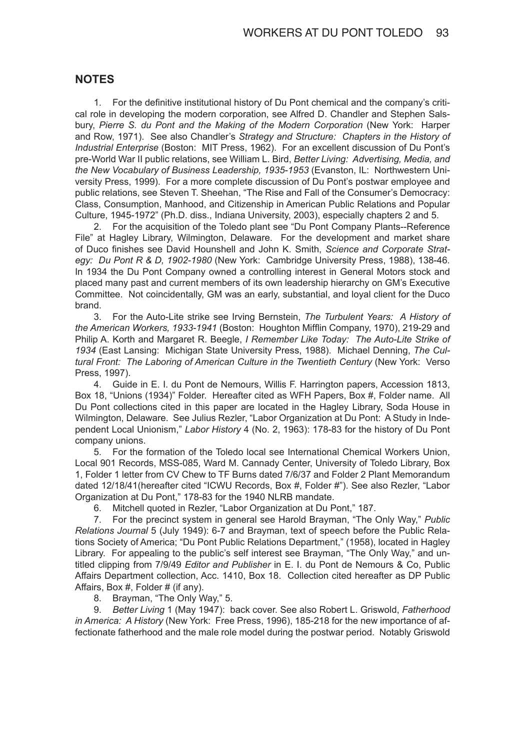#### **NOTES**

1. For the definitive institutional history of Du Pont chemical and the company's critical role in developing the modern corporation, see Alfred D. Chandler and Stephen Salsbury, *Pierre S. du Pont and the Making of the Modern Corporation* (New York: Harper and Row, 1971). See also Chandler's *Strategy and Structure: Chapters in the History of Industrial Enterprise* (Boston: MIT Press, 1962). For an excellent discussion of Du Pont's pre-World War II public relations, see William L. Bird, *Better Living: Advertising, Media, and the New Vocabulary of Business Leadership, 1935-1953* (Evanston, IL: Northwestern University Press, 1999). For a more complete discussion of Du Pont's postwar employee and public relations, see Steven T. Sheehan, "The Rise and Fall of the Consumer's Democracy: Class, Consumption, Manhood, and Citizenship in American Public Relations and Popular Culture, 1945-1972" (Ph.D. diss., Indiana University, 2003), especially chapters 2 and 5.

2. For the acquisition of the Toledo plant see "Du Pont Company Plants--Reference File" at Hagley Library, Wilmington, Delaware. For the development and market share of Duco finishes see David Hounshell and John K. Smith, *Science and Corporate Strategy: Du Pont R & D, 1902-1980* (New York: Cambridge University Press, 1988), 138-46*.* In 1934 the Du Pont Company owned a controlling interest in General Motors stock and placed many past and current members of its own leadership hierarchy on GM's Executive Committee. Not coincidentally, GM was an early, substantial, and loyal client for the Duco brand.

3. For the Auto-Lite strike see Irving Bernstein, *The Turbulent Years: A History of the American Workers, 1933-1941* (Boston: Houghton Mifflin Company, 1970), 219-29 and Philip A. Korth and Margaret R. Beegle, *I Remember Like Today: The Auto-Lite Strike of 1934* (East Lansing: Michigan State University Press, 1988). Michael Denning, *The Cul*tural Front: The Laboring of American Culture in the Twentieth Century (New York: Verso Press, 1997).

4. Guide in E. I. du Pont de Nemours, Willis F. Harrington papers, Accession 1813, Box 18, "Unions (1934)" Folder. Hereafter cited as WFH Papers, Box #, Folder name. All Du Pont collections cited in this paper are located in the Hagley Library, Soda House in Wilmington, Delaware. See Julius Rezler, "Labor Organization at Du Pont: A Study in Independent Local Unionism," *Labor History* 4 (No. 2, 1963): 178-83 for the history of Du Pont company unions.

5. For the formation of the Toledo local see International Chemical Workers Union, Local 901 Records, MSS-085, Ward M. Cannady Center, University of Toledo Library, Box 1, Folder 1 letter from CV Chew to TF Burns dated 7/6/37 and Folder 2 Plant Memorandum dated 12/18/41(hereafter cited "ICWU Records, Box #, Folder #"). See also Rezler, "Labor Organization at Du Pont," 178-83 for the 1940 NLRB mandate.

6. Mitchell quoted in Rezler, "Labor Organization at Du Pont," 187.

7. For the precinct system in general see Harold Brayman, "The Only Way," *Public Relations Journal* 5 (July 1949): 6-7 and Brayman, text of speech before the Public Relations Society of America; "Du Pont Public Relations Department," (1958), located in Hagley Library. For appealing to the public's self interest see Brayman, "The Only Way," and untitled clipping from 7/9/49 *Editor and Publisher* in E. I. du Pont de Nemours & Co, Public Affairs Department collection, Acc. 1410, Box 18. Collection cited hereafter as DP Public Affairs, Box #, Folder # (if any).

8. Brayman, "The Only Way," 5.

9. *Better Living* 1 (May 1947): back cover. See also Robert L. Griswold, *Fatherhood in America: A History* (New York: Free Press, 1996), 185-218 for the new importance of affectionate fatherhood and the male role model during the postwar period. Notably Griswold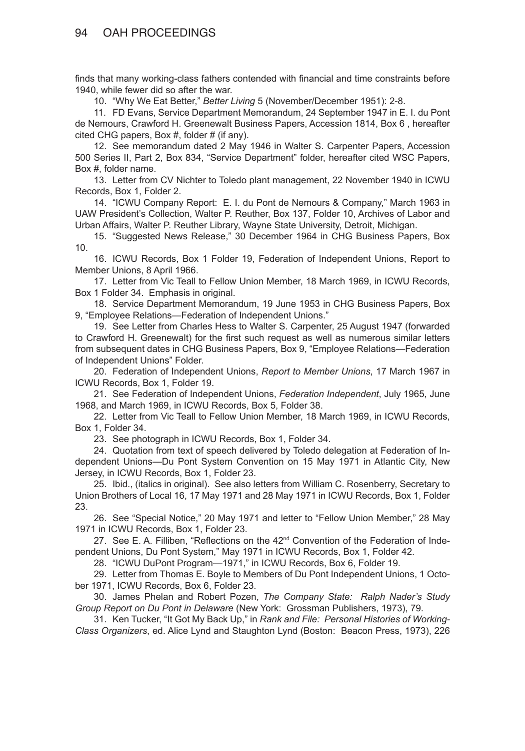finds that many working-class fathers contended with financial and time constraints before 1940, while fewer did so after the war.

10. "Why We Eat Better," *Better Living* 5 (November/December 1951): 2-8.

11. FD Evans, Service Department Memorandum, 24 September 1947 in E. I. du Pont de Nemours, Crawford H. Greenewalt Business Papers, Accession 1814, Box 6 , hereafter cited CHG papers, Box #, folder # (if any).

12. See memorandum dated 2 May 1946 in Walter S. Carpenter Papers, Accession 500 Series II, Part 2, Box 834, "Service Department" folder, hereafter cited WSC Papers, Box #, folder name.

13. Letter from CV Nichter to Toledo plant management, 22 November 1940 in ICWU Records, Box 1, Folder 2.

14. "ICWU Company Report: E. I. du Pont de Nemours & Company," March 1963 in UAW President's Collection, Walter P. Reuther, Box 137, Folder 10, Archives of Labor and Urban Affairs, Walter P. Reuther Library, Wayne State University, Detroit, Michigan.

15. "Suggested News Release," 30 December 1964 in CHG Business Papers, Box 10.

16. ICWU Records, Box 1 Folder 19, Federation of Independent Unions, Report to Member Unions, 8 April 1966.

17. Letter from Vic Teall to Fellow Union Member, 18 March 1969, in ICWU Records, Box 1 Folder 34. Emphasis in original.

18. Service Department Memorandum, 19 June 1953 in CHG Business Papers, Box 9, "Employee Relations—Federation of Independent Unions."

19. See Letter from Charles Hess to Walter S. Carpenter, 25 August 1947 (forwarded to Crawford H. Greenewalt) for the first such request as well as numerous similar letters from subsequent dates in CHG Business Papers, Box 9, "Employee Relations—Federation of Independent Unions" Folder.

20. Federation of Independent Unions, *Report to Member Unions*, 17 March 1967 in ICWU Records, Box 1, Folder 19.

21. See Federation of Independent Unions, *Federation Independent*, July 1965, June 1968, and March 1969, in ICWU Records, Box 5, Folder 38.

22. Letter from Vic Teall to Fellow Union Member, 18 March 1969, in ICWU Records, Box 1, Folder 34.

23. See photograph in ICWU Records, Box 1, Folder 34.

24. Quotation from text of speech delivered by Toledo delegation at Federation of Independent Unions—Du Pont System Convention on 15 May 1971 in Atlantic City, New Jersey, in ICWU Records, Box 1, Folder 23.

25. Ibid., (italics in original). See also letters from William C. Rosenberry, Secretary to Union Brothers of Local 16, 17 May 1971 and 28 May 1971 in ICWU Records, Box 1, Folder 23.

26. See "Special Notice," 20 May 1971 and letter to "Fellow Union Member," 28 May 1971 in ICWU Records, Box 1, Folder 23.

27. See E. A. Filliben, "Reflections on the 42<sup>nd</sup> Convention of the Federation of Independent Unions, Du Pont System," May 1971 in ICWU Records, Box 1, Folder 42.

28. "ICWU DuPont Program—1971," in ICWU Records, Box 6, Folder 19.

29. Letter from Thomas E. Boyle to Members of Du Pont Independent Unions, 1 October 1971, ICWU Records, Box 6, Folder 23.

30. James Phelan and Robert Pozen, *The Company State: Ralph Nader's Study Group Report on Du Pont in Delaware* (New York: Grossman Publishers, 1973), 79.

31. Ken Tucker, "It Got My Back Up," in *Rank and File: Personal Histories of Working-Class Organizers*, ed. Alice Lynd and Staughton Lynd (Boston: Beacon Press, 1973), 226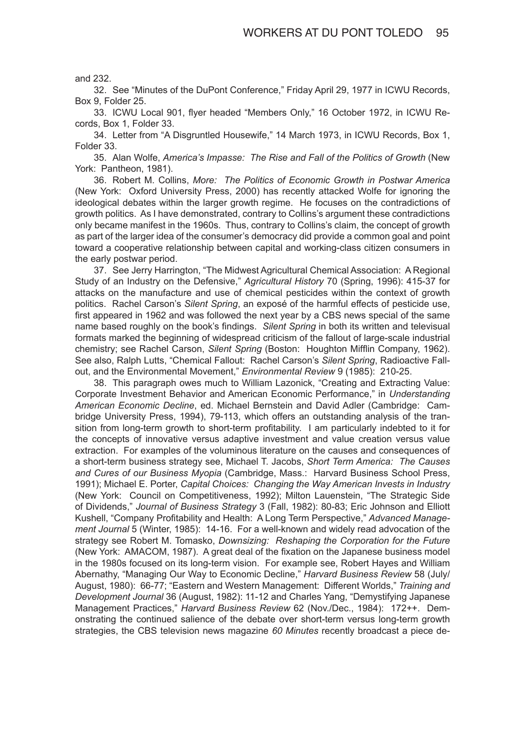and 232.

32. See "Minutes of the DuPont Conference," Friday April 29, 1977 in ICWU Records, Box 9, Folder 25.

33. ICWU Local 901, flyer headed "Members Only," 16 October 1972, in ICWU Records, Box 1, Folder 33.

34. Letter from "A Disgruntled Housewife," 14 March 1973, in ICWU Records, Box 1, Folder 33.

35. Alan Wolfe, *America's Impasse: The Rise and Fall of the Politics of Growth* (New York: Pantheon, 1981).

36. Robert M. Collins, *More: The Politics of Economic Growth in Postwar America*  (New York: Oxford University Press, 2000) has recently attacked Wolfe for ignoring the ideological debates within the larger growth regime. He focuses on the contradictions of growth politics. As I have demonstrated, contrary to Collins's argument these contradictions only became manifest in the 1960s. Thus, contrary to Collins's claim, the concept of growth as part of the larger idea of the consumer's democracy did provide a common goal and point toward a cooperative relationship between capital and working-class citizen consumers in the early postwar period.

37. See Jerry Harrington, "The Midwest Agricultural Chemical Association: A Regional Study of an Industry on the Defensive," *Agricultural History* 70 (Spring, 1996): 415-37 for attacks on the manufacture and use of chemical pesticides within the context of growth politics. Rachel Carson's *Silent Spring*, an exposé of the harmful effects of pesticide use, first appeared in 1962 and was followed the next year by a CBS news special of the same name based roughly on the book's findings. *Silent Spring* in both its written and televisual formats marked the beginning of widespread criticism of the fallout of large-scale industrial chemistry; see Rachel Carson, *Silent Spring* (Boston: Houghton Mifflin Company, 1962). See also, Ralph Lutts, "Chemical Fallout: Rachel Carson's *Silent Spring*, Radioactive Fallout, and the Environmental Movement," *Environmental Review* 9 (1985): 210-25.

38. This paragraph owes much to William Lazonick, "Creating and Extracting Value: Corporate Investment Behavior and American Economic Performance," in *Understanding American Economic Decline*, ed. Michael Bernstein and David Adler (Cambridge: Cambridge University Press, 1994), 79-113, which offers an outstanding analysis of the transition from long-term growth to short-term profitability. I am particularly indebted to it for the concepts of innovative versus adaptive investment and value creation versus value extraction. For examples of the voluminous literature on the causes and consequences of a short-term business strategy see, Michael T. Jacobs, *Short Term America: The Causes and Cures of our Business Myopia* (Cambridge, Mass.: Harvard Business School Press, 1991); Michael E. Porter, *Capital Choices: Changing the Way American Invests in Industry* (New York: Council on Competitiveness, 1992); Milton Lauenstein, "The Strategic Side of Dividends," *Journal of Business Strategy* 3 (Fall, 1982): 80-83; Eric Johnson and Elliott Kushell, "Company Profitability and Health: A Long Term Perspective," *Advanced Management Journal* 5 (Winter, 1985): 14-16. For a well-known and widely read advocation of the strategy see Robert M. Tomasko, *Downsizing: Reshaping the Corporation for the Future* (New York: AMACOM, 1987). A great deal of the fixation on the Japanese business model in the 1980s focused on its long-term vision. For example see, Robert Hayes and William Abernathy, "Managing Our Way to Economic Decline," *Harvard Business Review* 58 (July/ August, 1980): 66-77; "Eastern and Western Management: Different Worlds," *Training and Development Journal* 36 (August, 1982): 11-12 and Charles Yang, "Demystifying Japanese Management Practices," *Harvard Business Review* 62 (Nov./Dec., 1984): 172++. Demonstrating the continued salience of the debate over short-term versus long-term growth strategies, the CBS television news magazine *60 Minutes* recently broadcast a piece de-